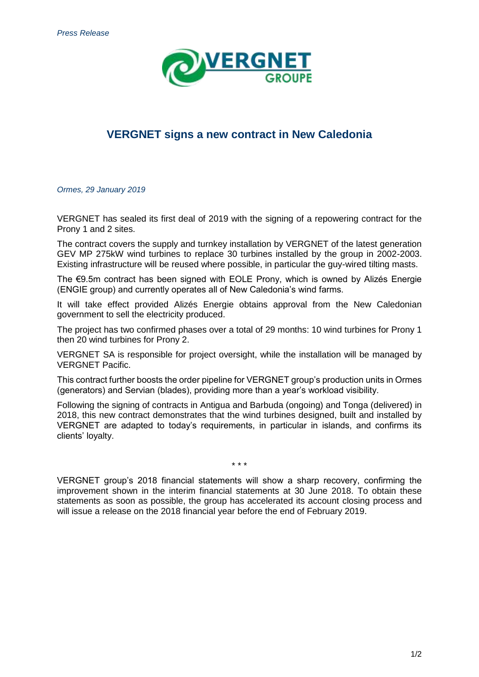

## **VERGNET signs a new contract in New Caledonia**

*Ormes, 29 January 2019*

VERGNET has sealed its first deal of 2019 with the signing of a repowering contract for the Prony 1 and 2 sites.

The contract covers the supply and turnkey installation by VERGNET of the latest generation GEV MP 275kW wind turbines to replace 30 turbines installed by the group in 2002-2003. Existing infrastructure will be reused where possible, in particular the guy-wired tilting masts.

The €9.5m contract has been signed with EOLE Prony, which is owned by Alizés Energie (ENGIE group) and currently operates all of New Caledonia's wind farms.

It will take effect provided Alizés Energie obtains approval from the New Caledonian government to sell the electricity produced.

The project has two confirmed phases over a total of 29 months: 10 wind turbines for Prony 1 then 20 wind turbines for Prony 2.

VERGNET SA is responsible for project oversight, while the installation will be managed by VERGNET Pacific.

This contract further boosts the order pipeline for VERGNET group's production units in Ormes (generators) and Servian (blades), providing more than a year's workload visibility.

Following the signing of contracts in Antigua and Barbuda (ongoing) and Tonga (delivered) in 2018, this new contract demonstrates that the wind turbines designed, built and installed by VERGNET are adapted to today's requirements, in particular in islands, and confirms its clients' loyalty.

\* \* \*

VERGNET group's 2018 financial statements will show a sharp recovery, confirming the improvement shown in the interim financial statements at 30 June 2018. To obtain these statements as soon as possible, the group has accelerated its account closing process and will issue a release on the 2018 financial year before the end of February 2019.